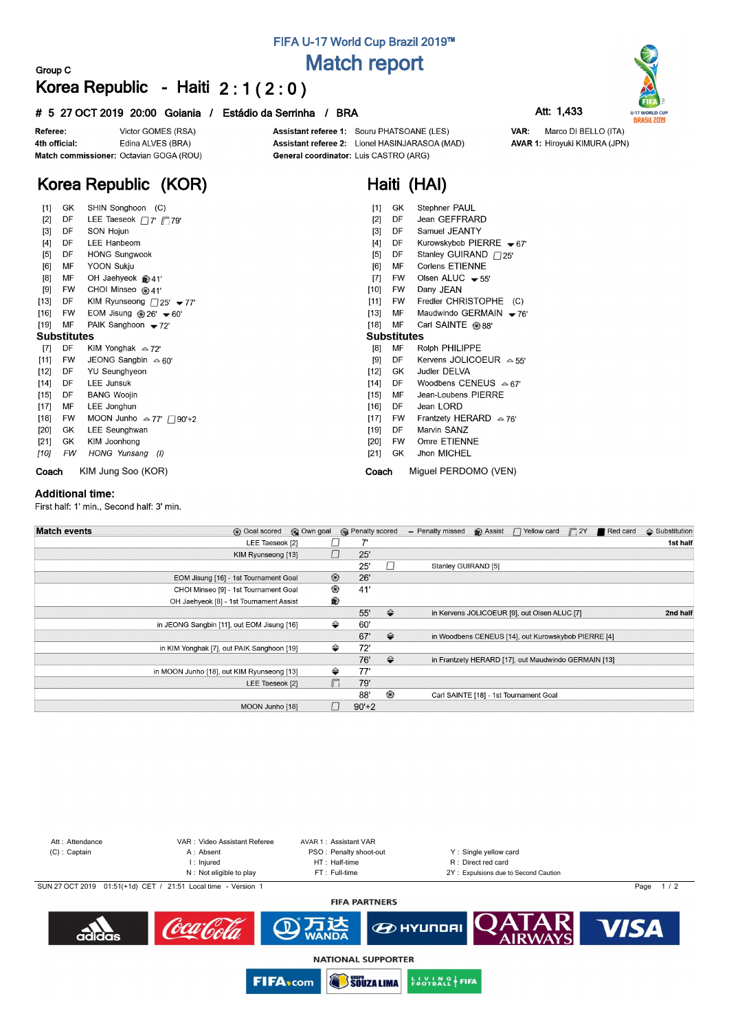# **FIFA U-17 World Cup Brazil 2019™ Match report**

## **Group C Korea Republic - Haiti 2 : 1 ( 2 : 0 )**

### **# 5 27 OCT 2019 20:00 Goiania / Estádio da Serrinha / BRA Att: 1,433**

Marco DI BELLO (ITA)

**AVAR 1: Hiroyuki KIMURA (JPN)** 

VAR:



Victor GOMES (RSA) Referee: Edina ALVES (BRA) 4th official: Match commissioner: Octavian GOGA (ROU) Assistant referee 1: Souru PHATSOANE (LES) Assistant referee 2: Lionel HASINJARASOA (MAD) General coordinator: Luis CASTRO (ARG)

**Haiti (HAI)**

# **Korea Republic (KOR)**

| $[1]$              | GK        | SHIN Songhoon (C)                                  | $[1]$  | GK                 | Stephner PAUL                   |  |  |  |  |  |
|--------------------|-----------|----------------------------------------------------|--------|--------------------|---------------------------------|--|--|--|--|--|
| $[2]$              | DF        | LEE Taeseok $\Box$ 7' $\Box$ 79'                   | $[2]$  | DF                 | Jean GEFFRARD                   |  |  |  |  |  |
| $[3]$              | DF        | SON Hojun                                          | [3]    | DF                 | Samuel JEANTY                   |  |  |  |  |  |
| [4]                | DF        | LEE Hanbeom                                        | [4]    | DF                 | Kurowskybob PIERRE $-67'$       |  |  |  |  |  |
| [5]                | DF        | <b>HONG Sungwook</b>                               | [5]    | DF                 | Stanley GUIRAND $\Box$ 25'      |  |  |  |  |  |
| [6]                | МF        | <b>YOON Sukju</b>                                  | [6]    | МF                 | Corlens ETIENNE                 |  |  |  |  |  |
| [8]                | MF        | OH Jaehyeok @41'                                   | [7]    | <b>FW</b>          | Olsen ALUC $-55'$               |  |  |  |  |  |
| [9]                | FW        | CHOI Minseo @41'                                   | $[10]$ | <b>FW</b>          | Dany JEAN                       |  |  |  |  |  |
| $[13]$             | DF        | KIM Ryunseong $\Box$ 25' $\blacktriangleright$ 77' | [11]   | <b>FW</b>          | Fredler CHRISTOPHE (C)          |  |  |  |  |  |
| $[16]$             | <b>FW</b> | EOM Jisung $@26'$ $\blacktriangleright$ 60'        | [13]   | МF                 | Maudwindo GERMAIN $-76'$        |  |  |  |  |  |
| $[19]$             | МF        | PAIK Sanghoon $-72'$                               | $[18]$ | MF                 | Carl SAINTE @ 88'               |  |  |  |  |  |
| <b>Substitutes</b> |           |                                                    |        | <b>Substitutes</b> |                                 |  |  |  |  |  |
| $[7]$              | DF        | KIM Yonghak $\approx$ 72'                          | [8]    | MF                 | Rolph PHILIPPE                  |  |  |  |  |  |
| [11]               | <b>FW</b> | JEONG Sangbin $\approx 60'$                        | [9]    | DF                 | Kervens JOLICOEUR $\approx$ 55' |  |  |  |  |  |
| $[12]$             | DF        | <b>YU Seunghyeon</b>                               | $[12]$ | GK.                | Judler DELVA                    |  |  |  |  |  |
| $[14]$             | DF        | <b>LEE Junsuk</b>                                  | $[14]$ | DF                 | Woodbens CENEUS $\approx 67'$   |  |  |  |  |  |
| $[15]$             | DF        | <b>BANG Woojin</b>                                 | $[15]$ | MF                 | Jean-Loubens PIERRE             |  |  |  |  |  |
| $[17]$             | MF        | LEE Jonghun                                        | $[16]$ | DF                 | Jean LORD                       |  |  |  |  |  |
| $[18]$             | <b>FW</b> | MOON Junho $\approx$ 77' $\Box$ 90'+2              | $[17]$ | <b>FW</b>          | Frantzety HERARD $\approx$ 76'  |  |  |  |  |  |
| $[20]$             | GK        | LEE Seunghwan                                      | $[19]$ | DF                 | Marvin SANZ                     |  |  |  |  |  |
| $[21]$             | GK        | KIM Joonhong                                       | [20]   | <b>FW</b>          | Omre ETIENNE                    |  |  |  |  |  |
| [10]               | FW        | HONG Yunsang (I)                                   | [21]   | GK.                | Jhon MICHEL                     |  |  |  |  |  |
| Coach              |           | KIM Jung Soo (KOR)                                 |        | Coach              | Miquel PERDOMO (VEN)            |  |  |  |  |  |

#### **Additional time:**

First half: 1' min., Second half: 3' min.

| <b>Match events</b><br><b>B</b> Goal scored | © Own goal     | <b>R</b> Penalty scored |               | - Penalty missed    | Assist | $\Box$ Yellow card                                   | $\sqrt{2}$ | Red card | $\Leftrightarrow$ Substitution |
|---------------------------------------------|----------------|-------------------------|---------------|---------------------|--------|------------------------------------------------------|------------|----------|--------------------------------|
| LEE Taeseok [2]                             |                |                         |               |                     |        |                                                      |            |          | 1st half                       |
| KIM Ryunseong [13]                          | $\Box$         | 25'                     |               |                     |        |                                                      |            |          |                                |
|                                             |                | 25'                     | $\Box$        | Stanley GUIRAND [5] |        |                                                      |            |          |                                |
| EOM Jisung [16] - 1st Tournament Goal       | $^{\circledR}$ | 26'                     |               |                     |        |                                                      |            |          |                                |
| CHOI Minseo [9] - 1st Tournament Goal       | ◉              | 41'                     |               |                     |        |                                                      |            |          |                                |
| OH Jaehyeok [8] - 1st Tournament Assist     | ®              |                         |               |                     |        |                                                      |            |          |                                |
|                                             |                | 55'                     | $\Rightarrow$ |                     |        | in Kervens JOLICOEUR [9], out Olsen ALUC [7]         |            |          | 2nd half                       |
| in JEONG Sangbin [11], out EOM Jisung [16]  | ⇔              | 60'                     |               |                     |        |                                                      |            |          |                                |
|                                             |                | 67'                     | $\Rightarrow$ |                     |        | in Woodbens CENEUS [14], out Kurowskybob PIERRE [4]  |            |          |                                |
| in KIM Yonghak [7], out PAIK Sanghoon [19]  | ⇔              | 72'                     |               |                     |        |                                                      |            |          |                                |
|                                             |                | 76'                     | $\Rightarrow$ |                     |        | in Frantzety HERARD [17], out Maudwindo GERMAIN [13] |            |          |                                |
| in MOON Junho [18], out KIM Ryunseong [13]  | ⇔              | 77'                     |               |                     |        |                                                      |            |          |                                |
| LEE Taeseok [2]                             | $\Box$         | 79'                     |               |                     |        |                                                      |            |          |                                |
|                                             |                | 88'                     | ⊛             |                     |        | Carl SAINTE [18] - 1st Tournament Goal               |            |          |                                |
| MOON Junho [18]                             |                | $90'+2$                 |               |                     |        |                                                      |            |          |                                |



**SOUZA LIMA** 

**EUVING FIFA** 

**FIFA**<sub>com</sub>